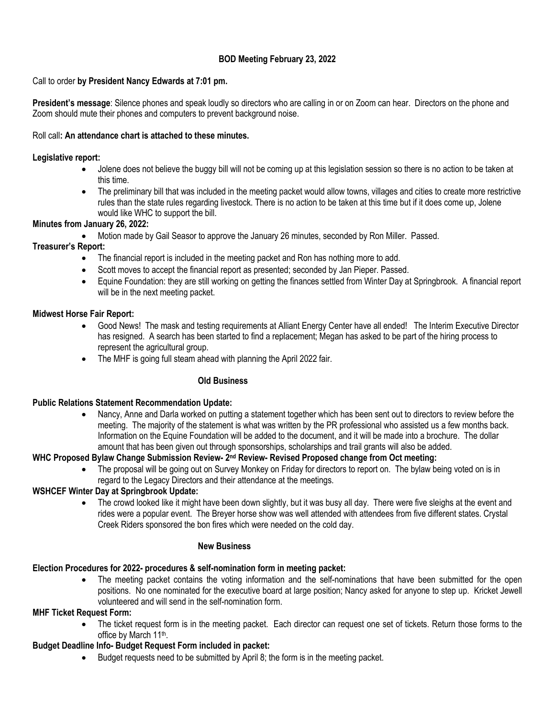## **BOD Meeting February 23, 2022**

## Call to order **by President Nancy Edwards at 7:01 pm.**

**President's message**: Silence phones and speak loudly so directors who are calling in or on Zoom can hear. Directors on the phone and Zoom should mute their phones and computers to prevent background noise.

#### Roll call**: An attendance chart is attached to these minutes.**

## **Legislative report:**

- Jolene does not believe the buggy bill will not be coming up at this legislation session so there is no action to be taken at this time.
- The preliminary bill that was included in the meeting packet would allow towns, villages and cities to create more restrictive rules than the state rules regarding livestock. There is no action to be taken at this time but if it does come up, Jolene would like WHC to support the bill.

## **Minutes from January 26, 2022:**

• Motion made by Gail Seasor to approve the January 26 minutes, seconded by Ron Miller. Passed.

## **Treasurer's Report:**

- The financial report is included in the meeting packet and Ron has nothing more to add.
- Scott moves to accept the financial report as presented; seconded by Jan Pieper. Passed.
- Equine Foundation: they are still working on getting the finances settled from Winter Day at Springbrook. A financial report will be in the next meeting packet.

## **Midwest Horse Fair Report:**

- Good News! The mask and testing requirements at Alliant Energy Center have all ended! The Interim Executive Director has resigned. A search has been started to find a replacement; Megan has asked to be part of the hiring process to represent the agricultural group.
- The MHF is going full steam ahead with planning the April 2022 fair.

#### **Old Business**

#### **Public Relations Statement Recommendation Update:**

• Nancy, Anne and Darla worked on putting a statement together which has been sent out to directors to review before the meeting. The majority of the statement is what was written by the PR professional who assisted us a few months back. Information on the Equine Foundation will be added to the document, and it will be made into a brochure. The dollar amount that has been given out through sponsorships, scholarships and trail grants will also be added.

#### **WHC Proposed Bylaw Change Submission Review- 2 nd Review- Revised Proposed change from Oct meeting:**

The proposal will be going out on Survey Monkey on Friday for directors to report on. The bylaw being voted on is in regard to the Legacy Directors and their attendance at the meetings.

#### **WSHCEF Winter Day at Springbrook Update:**

• The crowd looked like it might have been down slightly, but it was busy all day. There were five sleighs at the event and rides were a popular event. The Breyer horse show was well attended with attendees from five different states. Crystal Creek Riders sponsored the bon fires which were needed on the cold day.

#### **New Business**

# **Election Procedures for 2022- procedures & self-nomination form in meeting packet:**

The meeting packet contains the voting information and the self-nominations that have been submitted for the open positions. No one nominated for the executive board at large position; Nancy asked for anyone to step up. Kricket Jewell volunteered and will send in the self-nomination form.

# **MHF Ticket Request Form:**

• The ticket request form is in the meeting packet. Each director can request one set of tickets. Return those forms to the office by March 11<sup>th</sup>.

### **Budget Deadline Info- Budget Request Form included in packet:**

• Budget requests need to be submitted by April 8; the form is in the meeting packet.